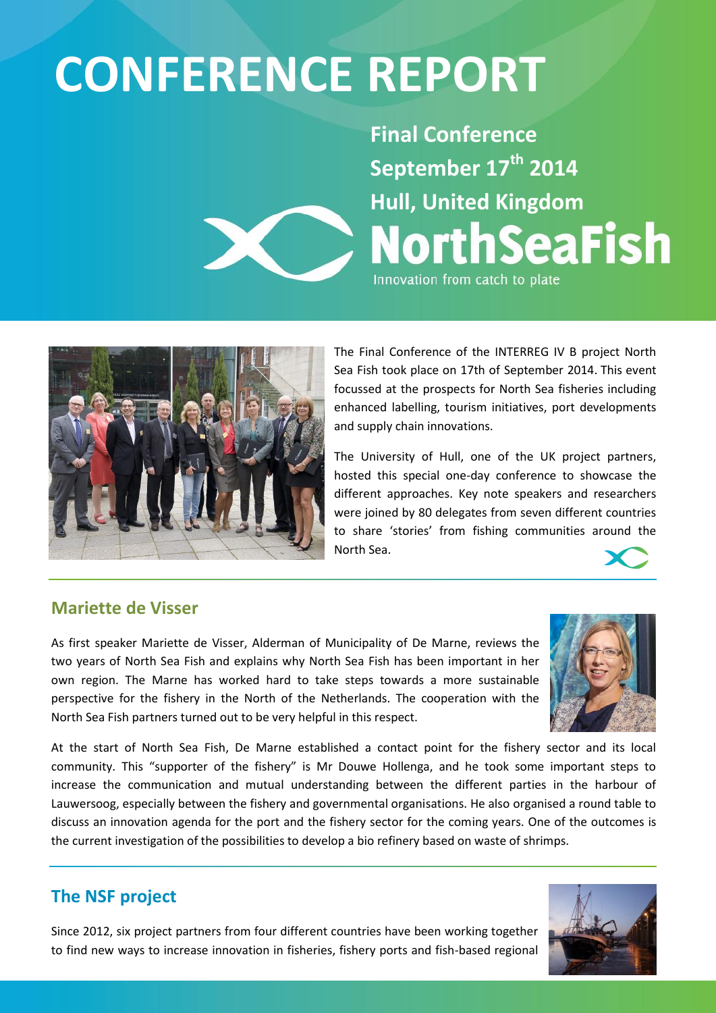# **CONFERENCE REPORT**

**Final Conference September 17th 2014 Hull, United Kingdom NorthSeaFish** Innovation from catch to plate



The Final Conference of the INTERREG IV B project North Sea Fish took place on 17th of September 2014. This event focussed at the prospects for North Sea fisheries including enhanced labelling, tourism initiatives, port developments and supply chain innovations.

The University of Hull, one of the UK project partners, hosted this special one-day conference to showcase the different approaches. Key note speakers and researchers were joined by 80 delegates from seven different countries to share 'stories' from fishing communities around the North Sea.

# **Mariette de Visser**

As first speaker Mariette de Visser, Alderman of Municipality of De Marne, reviews the two years of North Sea Fish and explains why North Sea Fish has been important in her own region. The Marne has worked hard to take steps towards a more sustainable perspective for the fishery in the North of the Netherlands. The cooperation with the North Sea Fish partners turned out to be very helpful in this respect.



At the start of North Sea Fish, De Marne established a contact point for the fishery sector and its local community. This "supporter of the fishery" is Mr Douwe Hollenga, and he took some important steps to increase the communication and mutual understanding between the different parties in the harbour of Lauwersoog, especially between the fishery and governmental organisations. He also organised a round table to discuss an innovation agenda for the port and the fishery sector for the coming years. One of the outcomes is the current investigation of the possibilities to develop a bio refinery based on waste of shrimps.

# **The NSF project**

Since 2012, six project partners from four different countries have been working together to find new ways to increase innovation in fisheries, fishery ports and fish-based regional

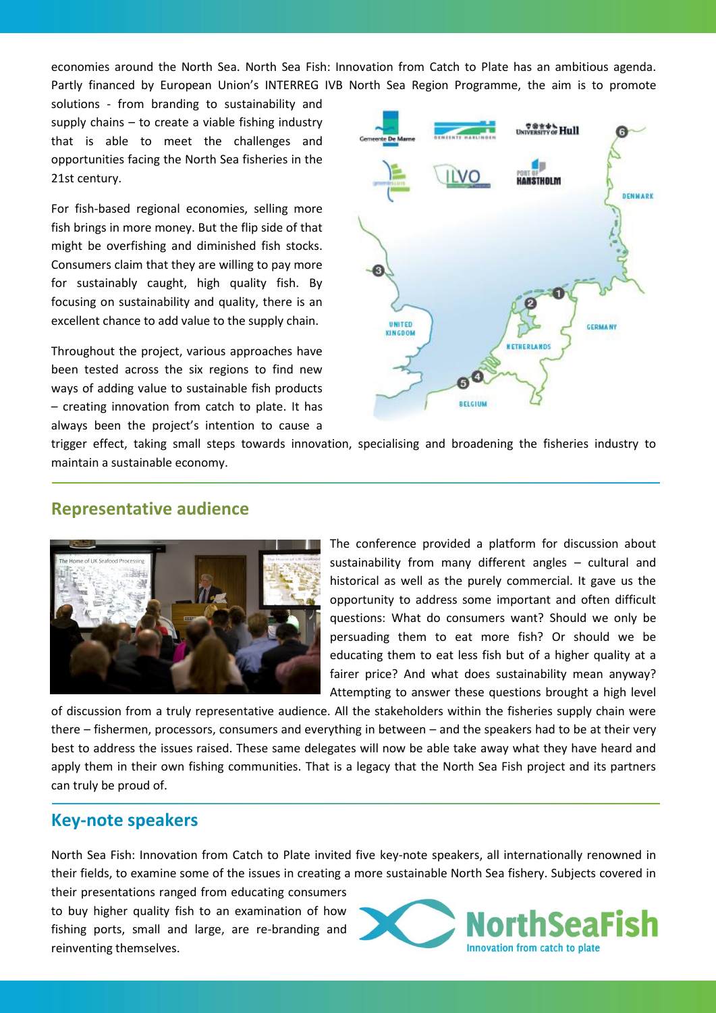economies around the North Sea. North Sea Fish: Innovation from Catch to Plate has an ambitious agenda. Partly financed by European Union's INTERREG IVB North Sea Region Programme, the aim is to promote

solutions - from branding to sustainability and supply chains – to create a viable fishing industry that is able to meet the challenges and opportunities facing the North Sea fisheries in the 21st century.

For fish-based regional economies, selling more fish brings in more money. But the flip side of that might be overfishing and diminished fish stocks. Consumers claim that they are willing to pay more for sustainably caught, high quality fish. By focusing on sustainability and quality, there is an excellent chance to add value to the supply chain.

Throughout the project, various approaches have been tested across the six regions to find new ways of adding value to sustainable fish products – creating innovation from catch to plate. It has always been the project's intention to cause a



trigger effect, taking small steps towards innovation, specialising and broadening the fisheries industry to maintain a sustainable economy.

# **Representative audience**



The conference provided a platform for discussion about sustainability from many different angles – cultural and historical as well as the purely commercial. It gave us the opportunity to address some important and often difficult questions: What do consumers want? Should we only be persuading them to eat more fish? Or should we be educating them to eat less fish but of a higher quality at a fairer price? And what does sustainability mean anyway? Attempting to answer these questions brought a high level

of discussion from a truly representative audience. All the stakeholders within the fisheries supply chain were there – fishermen, processors, consumers and everything in between – and the speakers had to be at their very best to address the issues raised. These same delegates will now be able take away what they have heard and apply them in their own fishing communities. That is a legacy that the North Sea Fish project and its partners can truly be proud of.

# **Key-note speakers**

North Sea Fish: Innovation from Catch to Plate invited five key-note speakers, all internationally renowned in their fields, to examine some of the issues in creating a more sustainable North Sea fishery. Subjects covered in

their presentations ranged from educating consumers to buy higher quality fish to an examination of how fishing ports, small and large, are re-branding and reinventing themselves.

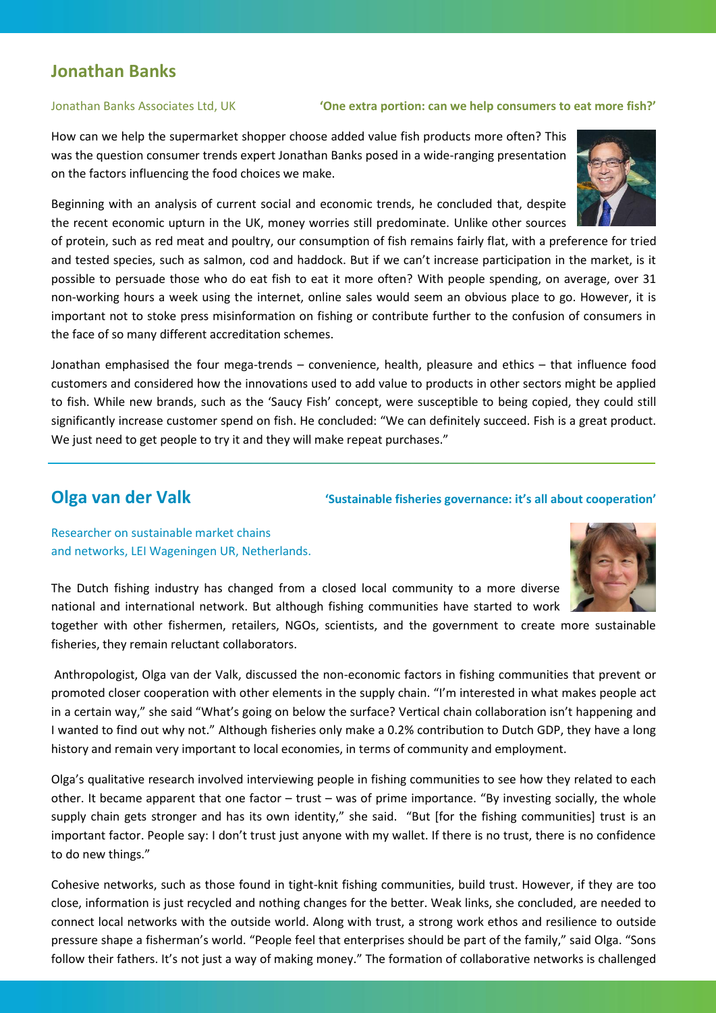# **Jonathan Banks**

### Jonathan Banks Associates Ltd, UK **'One extra portion: can we help consumers to eat more fish?'**

How can we help the supermarket shopper choose added value fish products more often? This was the question consumer trends expert Jonathan Banks posed in a wide-ranging presentation on the factors influencing the food choices we make.

Beginning with an analysis of current social and economic trends, he concluded that, despite the recent economic upturn in the UK, money worries still predominate. Unlike other sources

of protein, such as red meat and poultry, our consumption of fish remains fairly flat, with a preference for tried and tested species, such as salmon, cod and haddock. But if we can't increase participation in the market, is it possible to persuade those who do eat fish to eat it more often? With people spending, on average, over 31 non-working hours a week using the internet, online sales would seem an obvious place to go. However, it is important not to stoke press misinformation on fishing or contribute further to the confusion of consumers in the face of so many different accreditation schemes.

Jonathan emphasised the four mega-trends – convenience, health, pleasure and ethics – that influence food customers and considered how the innovations used to add value to products in other sectors might be applied to fish. While new brands, such as the 'Saucy Fish' concept, were susceptible to being copied, they could still significantly increase customer spend on fish. He concluded: "We can definitely succeed. Fish is a great product. We just need to get people to try it and they will make repeat purchases."

# **Olga van der Valk** *Colga van der Valk**'Sustainable fisheries governance: it's all about cooperation'*

Researcher on sustainable market chains and networks, LEI Wageningen UR, Netherlands.



The Dutch fishing industry has changed from a closed local community to a more diverse national and international network. But although fishing communities have started to work

together with other fishermen, retailers, NGOs, scientists, and the government to create more sustainable fisheries, they remain reluctant collaborators.

Anthropologist, Olga van der Valk, discussed the non-economic factors in fishing communities that prevent or promoted closer cooperation with other elements in the supply chain. "I'm interested in what makes people act in a certain way," she said "What's going on below the surface? Vertical chain collaboration isn't happening and I wanted to find out why not." Although fisheries only make a 0.2% contribution to Dutch GDP, they have a long history and remain very important to local economies, in terms of community and employment.

Olga's qualitative research involved interviewing people in fishing communities to see how they related to each other. It became apparent that one factor – trust – was of prime importance. "By investing socially, the whole supply chain gets stronger and has its own identity," she said. "But [for the fishing communities] trust is an important factor. People say: I don't trust just anyone with my wallet. If there is no trust, there is no confidence to do new things."

Cohesive networks, such as those found in tight-knit fishing communities, build trust. However, if they are too close, information is just recycled and nothing changes for the better. Weak links, she concluded, are needed to connect local networks with the outside world. Along with trust, a strong work ethos and resilience to outside pressure shape a fisherman's world. "People feel that enterprises should be part of the family," said Olga. "Sons follow their fathers. It's not just a way of making money." The formation of collaborative networks is challenged

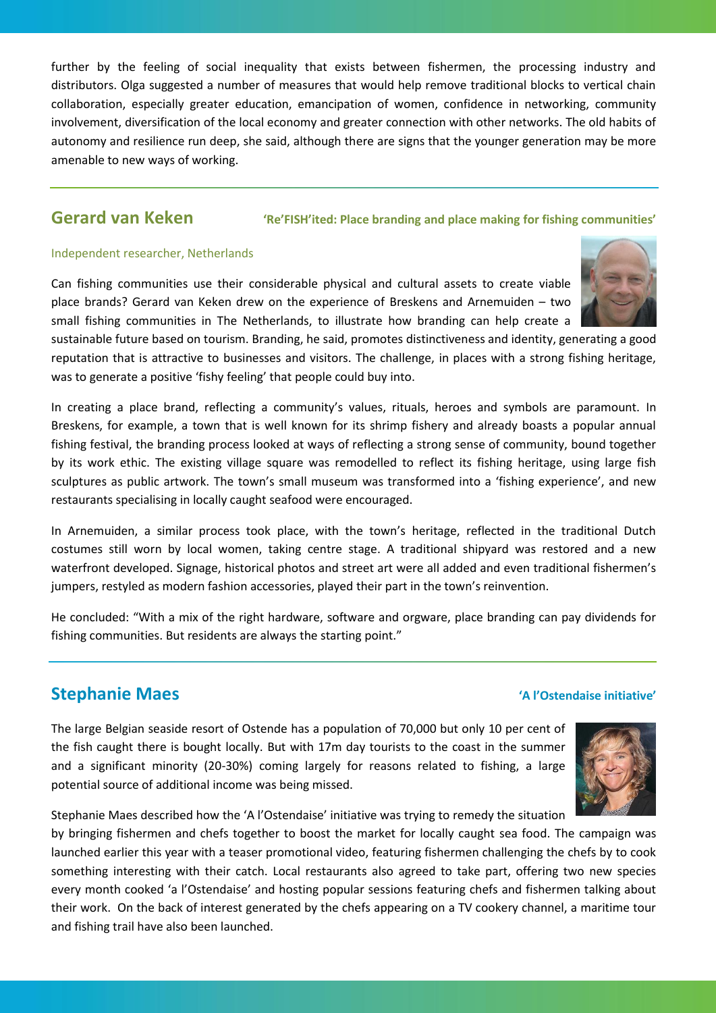further by the feeling of social inequality that exists between fishermen, the processing industry and distributors. Olga suggested a number of measures that would help remove traditional blocks to vertical chain collaboration, especially greater education, emancipation of women, confidence in networking, community involvement, diversification of the local economy and greater connection with other networks. The old habits of autonomy and resilience run deep, she said, although there are signs that the younger generation may be more amenable to new ways of working.

# **Gerard van Keken 'Re'FISH'ited: Place branding and place making for fishing communities'**

### Independent researcher, Netherlands

Can fishing communities use their considerable physical and cultural assets to create viable place brands? Gerard van Keken drew on the experience of Breskens and Arnemuiden – two small fishing communities in The Netherlands, to illustrate how branding can help create a

sustainable future based on tourism. Branding, he said, promotes distinctiveness and identity, generating a good reputation that is attractive to businesses and visitors. The challenge, in places with a strong fishing heritage, was to generate a positive 'fishy feeling' that people could buy into.

In creating a place brand, reflecting a community's values, rituals, heroes and symbols are paramount. In Breskens, for example, a town that is well known for its shrimp fishery and already boasts a popular annual fishing festival, the branding process looked at ways of reflecting a strong sense of community, bound together by its work ethic. The existing village square was remodelled to reflect its fishing heritage, using large fish sculptures as public artwork. The town's small museum was transformed into a 'fishing experience', and new restaurants specialising in locally caught seafood were encouraged.

In Arnemuiden, a similar process took place, with the town's heritage, reflected in the traditional Dutch costumes still worn by local women, taking centre stage. A traditional shipyard was restored and a new waterfront developed. Signage, historical photos and street art were all added and even traditional fishermen's jumpers, restyled as modern fashion accessories, played their part in the town's reinvention.

He concluded: "With a mix of the right hardware, software and orgware, place branding can pay dividends for fishing communities. But residents are always the starting point."

# **Stephanie Maes 'A l'Ostendaise initiative'**

The large Belgian seaside resort of Ostende has a population of 70,000 but only 10 per cent of the fish caught there is bought locally. But with 17m day tourists to the coast in the summer and a significant minority (20-30%) coming largely for reasons related to fishing, a large potential source of additional income was being missed.

Stephanie Maes described how the 'A l'Ostendaise' initiative was trying to remedy the situation

by bringing fishermen and chefs together to boost the market for locally caught sea food. The campaign was launched earlier this year with a teaser promotional video, featuring fishermen challenging the chefs by to cook something interesting with their catch. Local restaurants also agreed to take part, offering two new species every month cooked 'a l'Ostendaise' and hosting popular sessions featuring chefs and fishermen talking about their work. On the back of interest generated by the chefs appearing on a TV cookery channel, a maritime tour and fishing trail have also been launched.



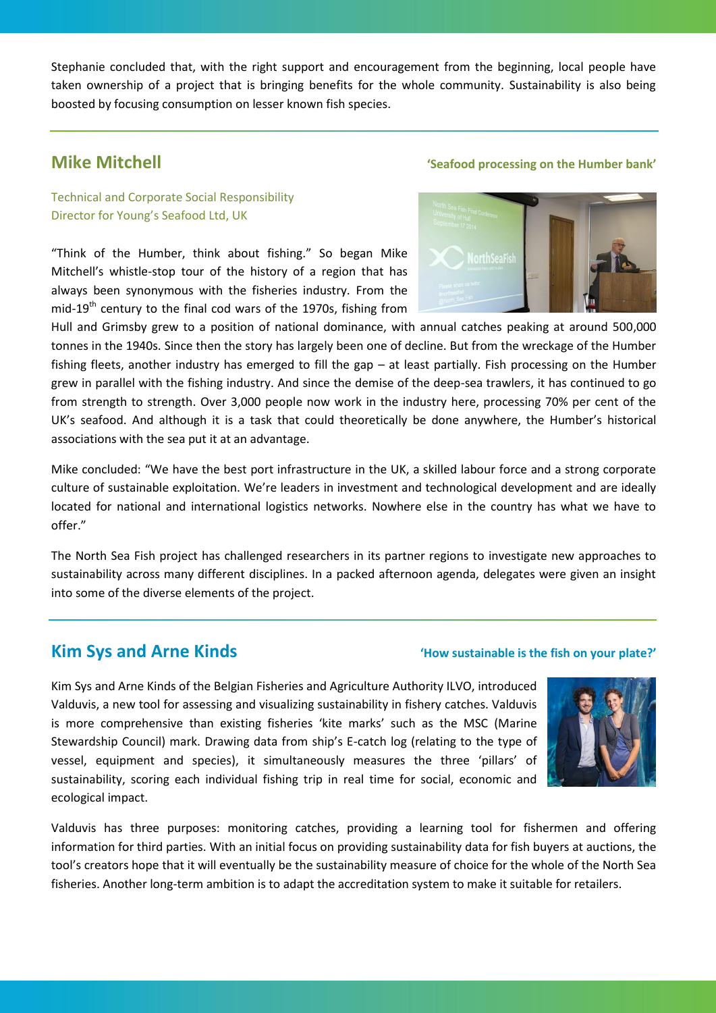Stephanie concluded that, with the right support and encouragement from the beginning, local people have taken ownership of a project that is bringing benefits for the whole community. Sustainability is also being boosted by focusing consumption on lesser known fish species.

# Technical and Corporate Social Responsibility Director for Young's Seafood Ltd, UK

"Think of the Humber, think about fishing." So began Mike Mitchell's whistle-stop tour of the history of a region that has always been synonymous with the fisheries industry. From the mid-19<sup>th</sup> century to the final cod wars of the 1970s, fishing from

# **Mike Mitchell Mike Mitchell** *Mike Mitchell* **<b>Seafood processing on the Humber bank'**



Hull and Grimsby grew to a position of national dominance, with annual catches peaking at around 500,000 tonnes in the 1940s. Since then the story has largely been one of decline. But from the wreckage of the Humber fishing fleets, another industry has emerged to fill the gap – at least partially. Fish processing on the Humber grew in parallel with the fishing industry. And since the demise of the deep-sea trawlers, it has continued to go from strength to strength. Over 3,000 people now work in the industry here, processing 70% per cent of the UK's seafood. And although it is a task that could theoretically be done anywhere, the Humber's historical associations with the sea put it at an advantage.

Mike concluded: "We have the best port infrastructure in the UK, a skilled labour force and a strong corporate culture of sustainable exploitation. We're leaders in investment and technological development and are ideally located for national and international logistics networks. Nowhere else in the country has what we have to offer."

The North Sea Fish project has challenged researchers in its partner regions to investigate new approaches to sustainability across many different disciplines. In a packed afternoon agenda, delegates were given an insight into some of the diverse elements of the project.

# **Kim Sys and Arne Kinds** *Conserversion CHOW Sustainable is the fish on your plate?'*

Kim Sys and Arne Kinds of the Belgian Fisheries and Agriculture Authority ILVO, introduced Valduvis, a new tool for assessing and visualizing sustainability in fishery catches. Valduvis is more comprehensive than existing fisheries 'kite marks' such as the MSC (Marine Stewardship Council) mark. Drawing data from ship's E-catch log (relating to the type of vessel, equipment and species), it simultaneously measures the three 'pillars' of sustainability, scoring each individual fishing trip in real time for social, economic and ecological impact.



Valduvis has three purposes: monitoring catches, providing a learning tool for fishermen and offering information for third parties. With an initial focus on providing sustainability data for fish buyers at auctions, the tool's creators hope that it will eventually be the sustainability measure of choice for the whole of the North Sea fisheries. Another long-term ambition is to adapt the accreditation system to make it suitable for retailers.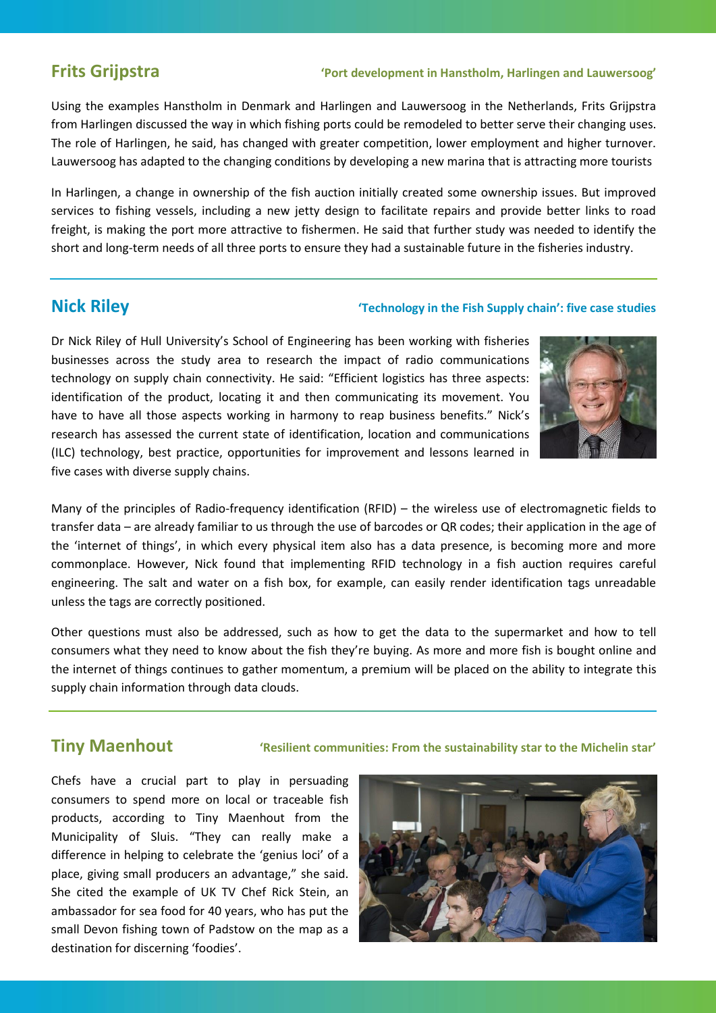## **Frits Grijpstra 'Port development in Hanstholm, Harlingen and Lauwersoog'**

Using the examples Hanstholm in Denmark and Harlingen and Lauwersoog in the Netherlands, Frits Grijpstra from Harlingen discussed the way in which fishing ports could be remodeled to better serve their changing uses. The role of Harlingen, he said, has changed with greater competition, lower employment and higher turnover. Lauwersoog has adapted to the changing conditions by developing a new marina that is attracting more tourists

In Harlingen, a change in ownership of the fish auction initially created some ownership issues. But improved services to fishing vessels, including a new jetty design to facilitate repairs and provide better links to road freight, is making the port more attractive to fishermen. He said that further study was needed to identify the short and long-term needs of all three ports to ensure they had a sustainable future in the fisheries industry.

# **Nick Riley 'Technology in the Fish Supply chain': five case studies**

Dr Nick Riley of Hull University's School of Engineering has been working with fisheries businesses across the study area to research the impact of radio communications technology on supply chain connectivity. He said: "Efficient logistics has three aspects: identification of the product, locating it and then communicating its movement. You have to have all those aspects working in harmony to reap business benefits." Nick's research has assessed the current state of identification, location and communications (ILC) technology, best practice, opportunities for improvement and lessons learned in five cases with diverse supply chains.



Many of the principles of Radio*-*frequency identification (RFID) – the wireless use of electromagnetic fields to transfer data – are already familiar to us through the use of barcodes or QR codes; their application in the age of the 'internet of things', in which every physical item also has a data presence, is becoming more and more commonplace. However, Nick found that implementing RFID technology in a fish auction requires careful engineering. The salt and water on a fish box, for example, can easily render identification tags unreadable unless the tags are correctly positioned.

Other questions must also be addressed, such as how to get the data to the supermarket and how to tell consumers what they need to know about the fish they're buying. As more and more fish is bought online and the internet of things continues to gather momentum, a premium will be placed on the ability to integrate this supply chain information through data clouds.

**Tiny Maenhout 'Resilient communities: From the sustainability star to the Michelin star'**

Chefs have a crucial part to play in persuading consumers to spend more on local or traceable fish products, according to Tiny Maenhout from the Municipality of Sluis. "They can really make a difference in helping to celebrate the 'genius loci' of a place, giving small producers an advantage," she said. She cited the example of UK TV Chef Rick Stein, an ambassador for sea food for 40 years, who has put the small Devon fishing town of Padstow on the map as a destination for discerning 'foodies'.

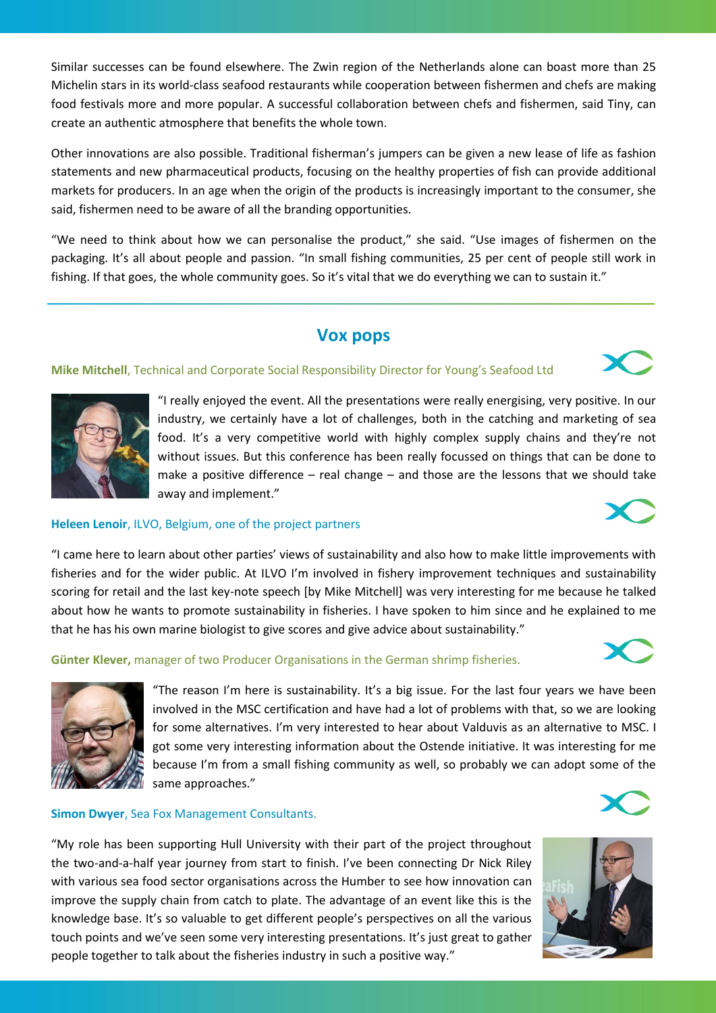Similar successes can be found elsewhere. The Zwin region of the Netherlands alone can boast more than 25 Michelin stars in its world-class seafood restaurants while cooperation between fishermen and chefs are making food festivals more and more popular. A successful collaboration between chefs and fishermen, said Tiny, can create an authentic atmosphere that benefits the whole town.

Other innovations are also possible. Traditional fisherman's jumpers can be given a new lease of life as fashion statements and new pharmaceutical products, focusing on the healthy properties of fish can provide additional markets for producers. In an age when the origin of the products is increasingly important to the consumer, she said, fishermen need to be aware of all the branding opportunities.

"We need to think about how we can personalise the product," she said. "Use images of fishermen on the packaging. It's all about people and passion. "In small fishing communities, 25 per cent of people still work in fishing. If that goes, the whole community goes. So it's vital that we do everything we can to sustain it."

# **Vox pops**

### **Mike Mitchell**, Technical and Corporate Social Responsibility Director for Young's Seafood Ltd

"I really enjoyed the event. All the presentations were really energising, very positive. In our industry, we certainly have a lot of challenges, both in the catching and marketing of sea food. It's a very competitive world with highly complex supply chains and they're not without issues. But this conference has been really focussed on things that can be done to make a positive difference  $-$  real change  $-$  and those are the lessons that we should take away and implement."

### **Heleen Lenoir**, ILVO, Belgium, one of the project partners

"I came here to learn about other parties' views of sustainability and also how to make little improvements with fisheries and for the wider public. At ILVO I'm involved in fishery improvement techniques and sustainability scoring for retail and the last key-note speech [by Mike Mitchell] was very interesting for me because he talked about how he wants to promote sustainability in fisheries. I have spoken to him since and he explained to me that he has his own marine biologist to give scores and give advice about sustainability."

**Günter Klever,** manager of two Producer Organisations in the German shrimp fisheries.

"The reason I'm here is sustainability. It's a big issue. For the last four years we have been involved in the MSC certification and have had a lot of problems with that, so we are looking for some alternatives. I'm very interested to hear about Valduvis as an alternative to MSC. I got some very interesting information about the Ostende initiative. It was interesting for me because I'm from a small fishing community as well, so probably we can adopt some of the same approaches."

### **Simon Dwyer**, Sea Fox Management Consultants.

"My role has been supporting Hull University with their part of the project throughout the two-and-a-half year journey from start to finish. I've been connecting Dr Nick Riley with various sea food sector organisations across the Humber to see how innovation can improve the supply chain from catch to plate. The advantage of an event like this is the knowledge base. It's so valuable to get different people's perspectives on all the various touch points and we've seen some very interesting presentations. It's just great to gather people together to talk about the fisheries industry in such a positive way."